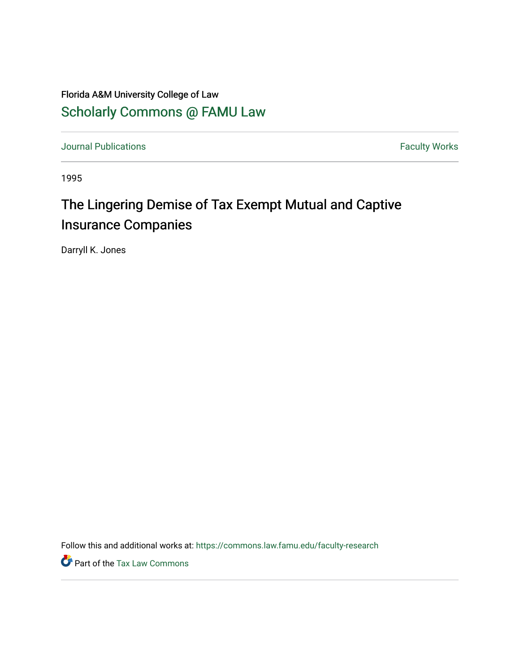### Florida A&M University College of Law [Scholarly Commons @ FAMU Law](https://commons.law.famu.edu/)

[Journal Publications](https://commons.law.famu.edu/faculty-research) **Faculty Works Journal Publications** 

1995

## The Lingering Demise of Tax Exempt Mutual and Captive Insurance Companies

Darryll K. Jones

Follow this and additional works at: [https://commons.law.famu.edu/faculty-research](https://commons.law.famu.edu/faculty-research?utm_source=commons.law.famu.edu%2Ffaculty-research%2F374&utm_medium=PDF&utm_campaign=PDFCoverPages) 

Part of the [Tax Law Commons](https://network.bepress.com/hgg/discipline/898?utm_source=commons.law.famu.edu%2Ffaculty-research%2F374&utm_medium=PDF&utm_campaign=PDFCoverPages)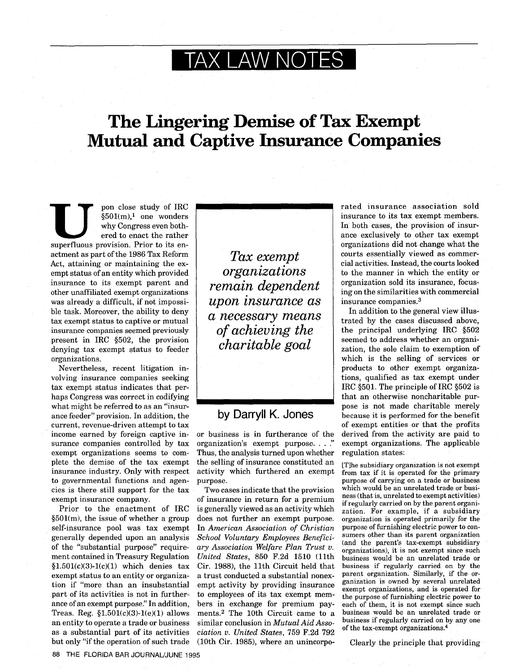# **TAX LAW NOTES**

## **The Lingering Demise of Tax Exempt Mutual and Captive Insurance Companies**

why Congress even both-<br>ered to enact the rather pon close study of IRC<br> $§501(m),<sup>1</sup>$  one wonders ered to enact the rather superfluous provision. Prior to its enactment as part of the 1986 Tax Reform Act, attaining or maintaining the exempt status of an entity which provided insurance to its exempt parent and other unaffiliated exempt organizations was already a difficult, if not impossible task. Moreover, the ability to deny tax exempt status to captive or mutual insurance companies seemed previously present in IRC §502, the provision denying tax exempt status to feeder organizations.

Nevertheless, recent litigation involving insurance companies seeking tax exempt status indicates that perhaps Congress was correct in codifying what might be referred to as an "insurance feeder" provision. In addition, the current, revenue-driven attempt to tax income earned by foreign captive insurance companies controlled by tax exempt organizations seems to complete the demise of the tax exempt insurance industry. Only with respect to governmental functions and agencies is there still support for the tax exempt insurance company.

Prior to the enactment of IRC §501(m), the issue of whether a group self-insurance pool was tax exempt generally depended upon an analysis of the "substantial purpose" requirement contained in Treasury Regulation  $$1.501(c)(3)-1(c)(1)$  which denies tax exempt status to an entity or organization if "more than an insubstantial part of its activities is not in furtherance of an exempt purpose." In addition, Treas. Reg.  $$1.501(c)(3)-1(e)(1)$  allows an entity to operate a trade or business as a substantial part of its activities but only "if the operation of such trade

*Tax exempt organizations remain dependent upon insurance as a necessary means of achieving the charitable goal*

#### **by** Darryll K. Jones

or business is in furtherance of the organization's exempt purpose...." Thus, the analysis turned upon whether the selling of insurance constituted an activity which furthered an exempt purpose.

Two cases indicate that the provision of insurance in return for a premium is generally viewed as an activity which does not further an exempt purpose. In *American Association of Christian School Voluntary Employees Beneficiary Association Welfare Plan Trust v. United States,* 850 F.2d 1510 (11th Cir. 1988), the 11th Circuit held that a trust conducted a substantial nonexempt activity by providing insurance to employees of its tax exempt members in exchange for premium payments.<sup>2</sup> The 10th Circuit came to a similar conclusion in *Mutual Aid Association v. United States,* 759 F.2d 792 (10th Cir. 1985), where an unincorpo-

rated insurance association sold insurance to its tax exempt members. In both cases, the provision of insurance exclusively to other tax exempt organizations did not change what the courts essentially viewed as commercial activities. Instead, the courts looked to the manner in which the entity or organization sold its insurance, focusing on the similarities with commercial insurance companies.<sup>3</sup>

In addition to the general view illustrated by the cases discussed above, the principal underlying IRC §502 seemed to address whether an organization, the sole claim to exemption of which is the selling of services or products to other exempt organizations, qualified as tax exempt under IRC §501. The principle of IRC §502 is that an otherwise noncharitable purpose is not made charitable merely because it is performed for the benefit of exempt entities or that the profits derived from the activity are paid to exempt organizations. The applicable regulation states:

[TIhe subsidiary organization is not exempt from tax if it is operated for the primary purpose of carrying on a trade or business which would be an unrelated trade or business (that is, unrelated to exempt activities) if regularly carried on by the parent organization. For example, if a subsidiary organization is operated primarily for the purpose of furnishing electric power to consumers other than its parent organization (and the parent's tax-exempt subsidiary organizations), it is not exempt since such business would be an unrelated trade or business if regularly carried on by the parent organization. Similarly, if the organization is owned by several unrelated exempt organizations, and is operated for the purpose of furnishing electric power to each of them, it is not exempt since such business would be an unrelated trade or business if regularly carried on by any one of the tax-exempt organizations.<sup>4</sup>

Clearly the principle that providing

THE FLORIDA BAR JOURNAL/JUNE 1995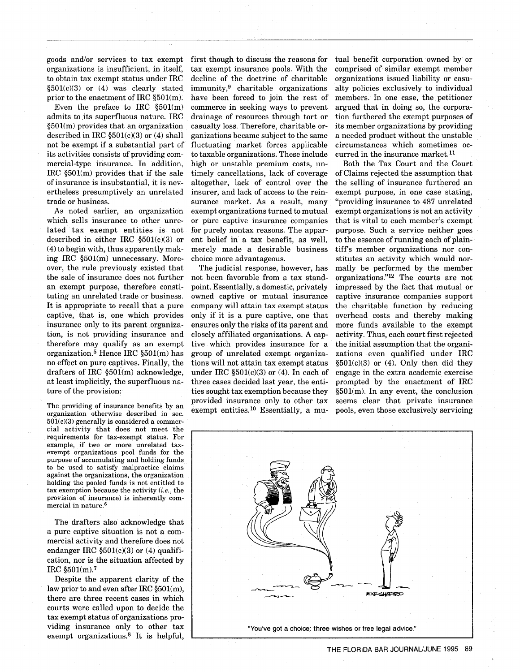goods and/or services to tax exempt organizations is insufficient, in itself, to obtain tax exempt status under IRC §501(c)(3) or (4) was clearly stated prior to the enactment of IRC §501(m).

Even the preface to IRC  $$501(m)$ admits to its superfluous nature. IRC §501(m) provides that an organization described in IRC §501(c)(3) or (4) shall not be exempt if a substantial part of its activities consists of providing commercial-type insurance. In addition, IRC §501(m) provides that if the sale of insurance is insubstantial, it is nevertheless presumptively an unrelated trade or business.

As noted earlier, an organization which sells insurance to other unrelated tax exempt entities is not described in either IRC §501(c)(3) or (4) to begin with, thus apparently making IRC §501(m) unnecessary. Moreover, the rule previously existed that the sale of insurance does not further an exempt purpose, therefore constituting an unrelated trade or business. It is appropriate to recall that a pure captive, that is, one which provides insurance only to its parent organization, is not providing insurance and therefore may qualify as an exempt organization.5 Hence IRC §501(m) has no effect on pure captives. Finally, the drafters of IRC §501(m) acknowledge, at least implicitly, the superfluous nature of the provision:

The providing of insurance benefits by an organization otherwise described in sec.  $501(c)(3)$  generally is considered a commercial activity that does not meet the requirements for tax-exempt status. For example, if two or more unrelated taxexempt organizations pool funds for the purpose of accumulating and holding funds to be used to satisfy malpractice claims against the organizations, the organization holding the pooled funds is not entitled to tax exemption because the activity *(i.e.,* the provision of insurance) is inherently commercial in nature.<sup>6</sup>

The drafters also acknowledge that a pure captive situation is not a commercial activity and therefore does not endanger IRC §501(c)(3) or (4) qualification, nor is the situation affected by IRC  $$501(m).7$ 

Despite the apparent clarity of the law prior to and even after IRC §501(m), there are three recent cases in which courts were called upon to decide the tax exempt status of organizations providing insurance only to other tax exempt organizations.8 It is helpful, first though to discuss the reasons for tax exempt insurance pools. With the decline of the doctrine of charitable immunity,9 charitable organizations have been forced to join the rest of commerce in seeking ways to prevent drainage of resources through tort or casualty loss. Therefore, charitable organizations became subject to the same fluctuating market forces applicable to taxable organizations. These include high or unstable premium costs, untimely cancellations, lack of coverage altogether, lack of control over the insurer, and lack of access to the reinsurance market. As a result, many exempt organizations turned to mutual or pure captive insurance companies for purely nontax reasons. The apparent belief in a tax benefit, as well, merely made a desirable business choice more advantageous.

The judicial response, however, has not been favorable from a tax standpoint. Essentially, a domestic, privately owned captive or mutual insurance company will attain tax exempt status only if it is a pure captive, one that ensures only the risks of its parent and closely affiliated organizations. A captive which provides insurance for a group of unrelated exempt organizations will not attain tax exempt status under IRC  $$501(c)(3)$  or (4). In each of three cases decided last year, the entities sought tax exemption because they provided insurance only to other tax exempt entities. <sup>10</sup> Essentially, a mutual benefit corporation owned by or comprised of similar exempt member organizations issued liability or casualty policies exclusively to individual members. In one case, the petitioner argued that in doing so, the corporation furthered the exempt purposes of its member organizations by providing a needed product without the unstable circumstances which sometimes occurred in the insurance market.<sup>11</sup>

Both the Tax Court and the Court of Claims rejected the assumption that the selling of insurance furthered an exempt purpose, in one case stating, "providing insurance to 487 unrelated exempt organizations is not an activity that is vital to each member's exempt purpose. Such a service neither goes to the essence of running each of plaintiff's member organizations nor constitutes an activity which would normally be performed by the member organizations."<sup>12</sup> The courts are not impressed by the fact that mutual or captive insurance companies support the charitable function by reducing overhead costs and thereby making more funds available to the exempt activity. Thus, each court first rejected the initial assumption that the organizations even qualified under IRC  $§501(c)(3)$  or  $(4)$ . Only then did they engage in the extra academic exercise prompted by the enactment of IRC §501(m). In any event, the conclusion seems clear that private insurance pools, even those exclusively servicing

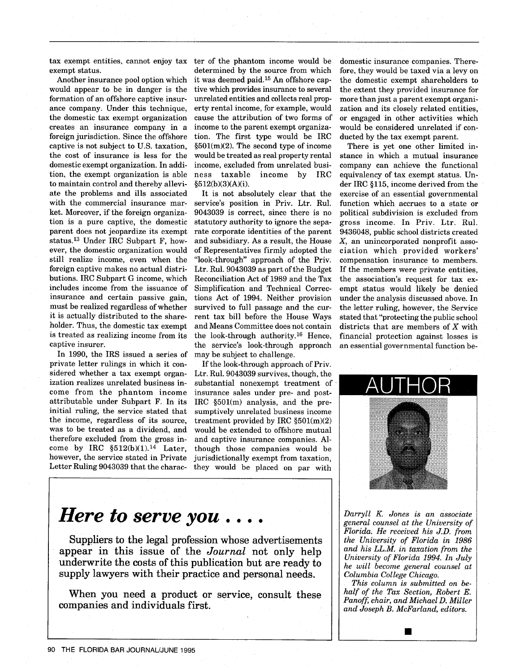exempt status.

Another insurance pool option which would appear to be in danger is the formation of an offshore captive insurance company. Under this technique, the domestic tax exempt organization creates an insurance company in a foreign jurisdiction. Since the offshore captive is not subject to U.S. taxation, the cost of insurance is less for the domestic exempt organization. In addition, the exempt organization is able to maintain control and thereby alleviate the problems and ills associated with the commercial insurance market. Moreover, if the foreign organization is a pure captive, the domestic parent does not jeopardize its exempt status.13 Under IRC Subpart F, however, the domestic organization would still realize income, even when the foreign captive makes no actual distributions. IRC Subpart G income, which includes income from the issuance of insurance and certain passive gain, must be realized regardless of whether it is actually distributed to the shareholder. Thus, the domestic tax exempt is treated as realizing income from its captive insurer.

In 1990, the IRS issued a series of private letter rulings in which it considered whether a tax exempt organization realizes unrelated business income from the phantom income attributable under Subpart F. In its initial ruling, the service stated that the income, regardless of its source, was to be treated as a dividend, and therefore excluded from the gross income by IRC  $$512(b)(1).$ <sup>14</sup> Later, however, the service stated in Private Letter Ruling 9043039 that the charac-

tax exempt entities, cannot enjoy tax ter of the phantom income would be determined by the source from which it was deemed paid. 15 An offshore captive which provides insurance to several unrelated entities and collects real property rental income, for example, would cause the attribution of two forms of income to the parent exempt organization. The first type would be IRC §501(m)(2). The second type of income would be treated as real property rental income, excluded from unrelated business taxable income by IRC §512(b)(3)(A)(i).

> It is not absolutely clear that the service's position in Priv. Ltr. Rul. 9043039 is correct, since there is no statutory authority to ignore the separate corporate identities of the parent and subsidiary. As a result, the House of Representatives firmly adopted the "look-through" approach of the Priv. Ltr. Rul. 9043039 as part of the Budget Reconciliation Act of 1989 and the Tax Simplification and Technical Corrections Act of 1994. Neither provision survived to full passage and the current tax bill before the House Ways and Means Committee does not contain the look-through authority. 16 Hence, the service's look-through approach may be subject to challenge.

If the look-through approach of Priv. Ltr. Rul. 9043039 survives, though, the substantial nonexempt treatment of insurance sales under pre- and post-IRC §501(m) analysis, and the presumptively unrelated business income treatment provided by IRC  $\S501(m)(2)$ would be extended to offshore mutual and captive insurance companies. Although those companies would be jurisdictionally exempt from taxation, they would be placed on par with

domestic insurance companies. Therefore, they would be taxed via a levy on the domestic exempt shareholders to the extent they provided insurance for more than just a parent exempt organization and its closely related entities, or engaged in other activities which would be considered unrelated if conducted by the tax exempt parent.

There is yet one other limited instance in which a mutual insurance company can achieve the functional equivalency of tax exempt status. Under IRC §115, income derived from the exercise of an essential governmental function which accrues to a state or political subdivision is excluded from gross income. In Priv. Ltr, Rul. 9436048, public school districts created X, an unincorporated nonprofit association which provided workers' compensation insurance to members. If the members were private entities, the association's request for tax exempt status would likely be denied under the analysis discussed above. In the letter ruling, however, the Service stated that "protecting the public school districts that are members of *X* with financial protection against losses is an essential governmental function be-



*Darryll K* Jones *is an associate general counsel at the University of Florida. He received his J.D. from the University of Florida in 1986 and his LL.M. in taxation from the University of Florida 1994. In July he will become general counsel at Columbia College Chicago.*

*This column is submitted on behalf of the Tax Section, Robert E. Panoff, chair, and Michael D. Miller and Joseph B. McFarland, editors.*

**U**

# *Here to serve you....*

Suppliers to the legal profession whose advertisements appear in this issue of the *Journal* not only help underwrite the costs of this publication but are ready to supply lawyers with their practice and personal needs.

When you need a product or service, consult these companies **and** individuals first.